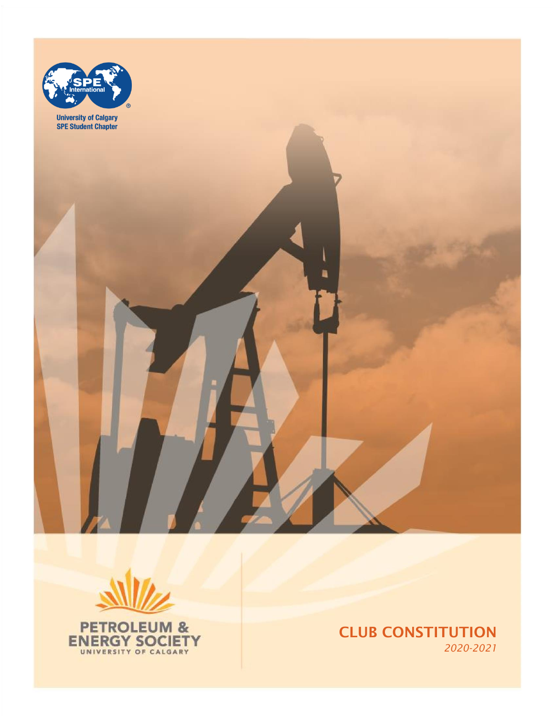



CLUB CONSTITUTION *2020-2021*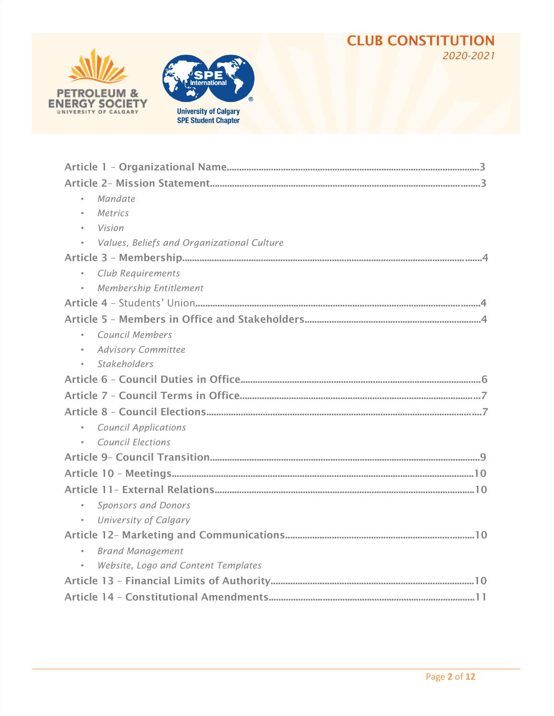#### CLUB CONSTITUTION *2020-2021*





| Mandate                                    |
|--------------------------------------------|
| Metrics<br>$\bullet$                       |
| Vision                                     |
| Values, Beliefs and Organizational Culture |
|                                            |
| Club Requirements<br>$\bullet$             |
| <b>Membership Entitlement</b>              |
|                                            |
|                                            |
| <b>Council Members</b>                     |
| <b>Advisory Committee</b><br>$\bullet$     |
| <b>Stakeholders</b><br>$\bullet$           |
|                                            |
|                                            |
|                                            |
| <b>Council Applications</b><br>$\bullet$   |
| <b>Council Elections</b>                   |
|                                            |
|                                            |
|                                            |
| Sponsors and Donors<br>$\bullet$           |
| University of Calgary<br>$\bullet$         |
|                                            |
| <b>Brand Management</b><br>$\bullet$       |
| Website, Logo and Content Templates        |
|                                            |
|                                            |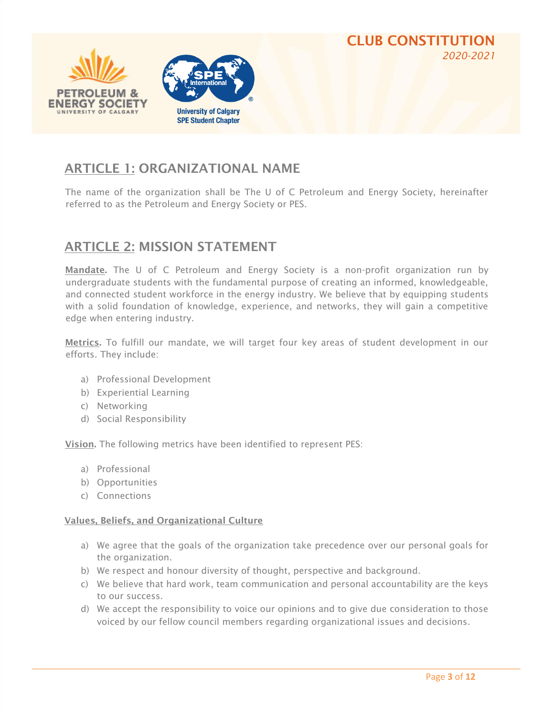

### ARTICLE 1: ORGANIZATIONAL NAME

The name of the organization shall be The U of C Petroleum and Energy Society, hereinafter referred to as the Petroleum and Energy Society or PES.

#### ARTICLE 2: MISSION STATEMENT

Mandate. The U of C Petroleum and Energy Society is a non-profit organization run by undergraduate students with the fundamental purpose of creating an informed, knowledgeable, and connected student workforce in the energy industry. We believe that by equipping students with a solid foundation of knowledge, experience, and networks, they will gain a competitive edge when entering industry.

Metrics. To fulfill our mandate, we will target four key areas of student development in our efforts. They include:

- a) Professional Development
- b) Experiential Learning
- c) Networking
- d) Social Responsibility

Vision. The following metrics have been identified to represent PES:

- a) Professional
- b) Opportunities
- c) Connections

#### Values, Beliefs, and Organizational Culture

- a) We agree that the goals of the organization take precedence over our personal goals for the organization.
- b) We respect and honour diversity of thought, perspective and background.
- c) We believe that hard work, team communication and personal accountability are the keys to our success.
- d) We accept the responsibility to voice our opinions and to give due consideration to those voiced by our fellow council members regarding organizational issues and decisions.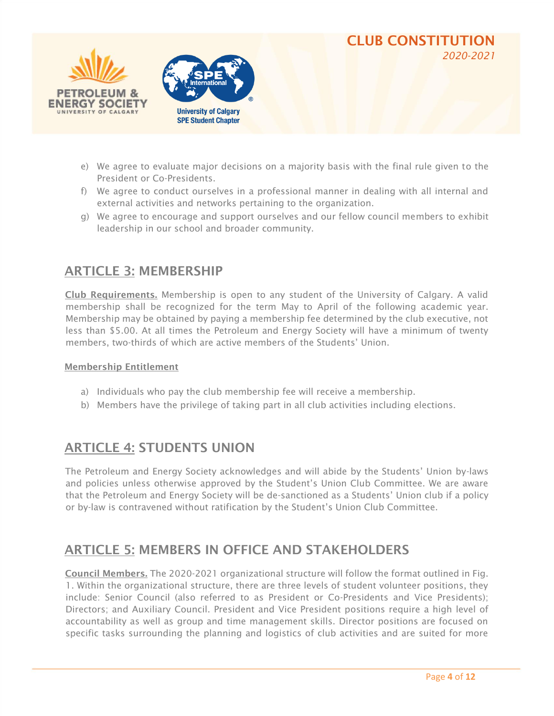



- e) We agree to evaluate major decisions on a majority basis with the final rule given to the President or Co-Presidents.
- f) We agree to conduct ourselves in a professional manner in dealing with all internal and external activities and networks pertaining to the organization.
- g) We agree to encourage and support ourselves and our fellow council members to exhibit leadership in our school and broader community.

#### ARTICLE 3: MEMBERSHIP

Club Requirements. Membership is open to any student of the University of Calgary. A valid membership shall be recognized for the term May to April of the following academic year. Membership may be obtained by paying a membership fee determined by the club executive, not less than \$5.00. At all times the Petroleum and Energy Society will have a minimum of twenty members, two-thirds of which are active members of the Students' Union.

#### Membership Entitlement

- a) Individuals who pay the club membership fee will receive a membership.
- b) Members have the privilege of taking part in all club activities including elections.

#### ARTICLE 4: STUDENTS UNION

The Petroleum and Energy Society acknowledges and will abide by the Students' Union by-laws and policies unless otherwise approved by the Student's Union Club Committee. We are aware that the Petroleum and Energy Society will be de-sanctioned as a Students' Union club if a policy or by-law is contravened without ratification by the Student's Union Club Committee.

#### ARTICLE 5: MEMBERS IN OFFICE AND STAKEHOLDERS

Council Members. The 2020-2021 organizational structure will follow the format outlined in Fig. 1. Within the organizational structure, there are three levels of student volunteer positions, they include: Senior Council (also referred to as President or Co-Presidents and Vice Presidents); Directors; and Auxiliary Council. President and Vice President positions require a high level of accountability as well as group and time management skills. Director positions are focused on specific tasks surrounding the planning and logistics of club activities and are suited for more

CLUB CONSTITUTION

*2020-2021*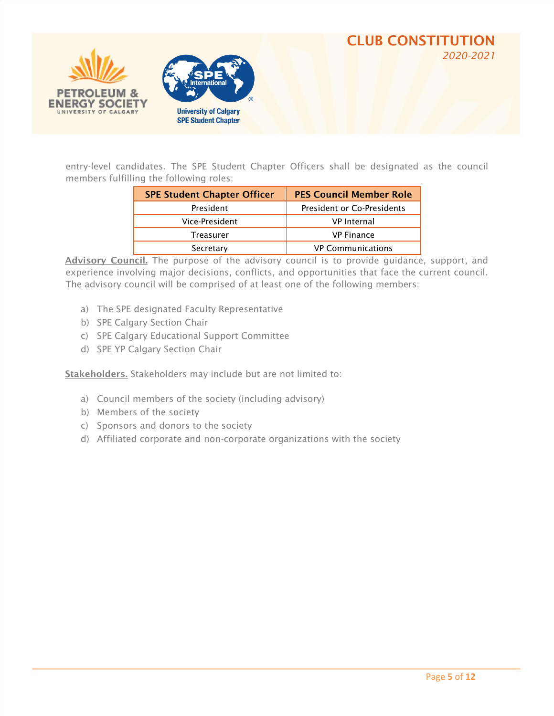



entry-level candidates. The SPE Student Chapter Officers shall be designated as the council members fulfilling the following roles:

| <b>SPE Student Chapter Officer</b> | <b>PES Council Member Role</b>    |
|------------------------------------|-----------------------------------|
| President                          | <b>President or Co-Presidents</b> |
| Vice-President                     | <b>VP</b> Internal                |
| Treasurer                          | <b>VP Finance</b>                 |
| Secretary                          | <b>VP Communications</b>          |

Advisory Council. The purpose of the advisory council is to provide guidance, support, and experience involving major decisions, conflicts, and opportunities that face the current council. The advisory council will be comprised of at least one of the following members:

- a) The SPE designated Faculty Representative
- b) SPE Calgary Section Chair
- c) SPE Calgary Educational Support Committee
- d) SPE YP Calgary Section Chair

Stakeholders. Stakeholders may include but are not limited to:

- a) Council members of the society (including advisory)
- b) Members of the society
- c) Sponsors and donors to the society
- d) Affiliated corporate and non-corporate organizations with the society

CLUB CONSTITUTION

*2020-2021*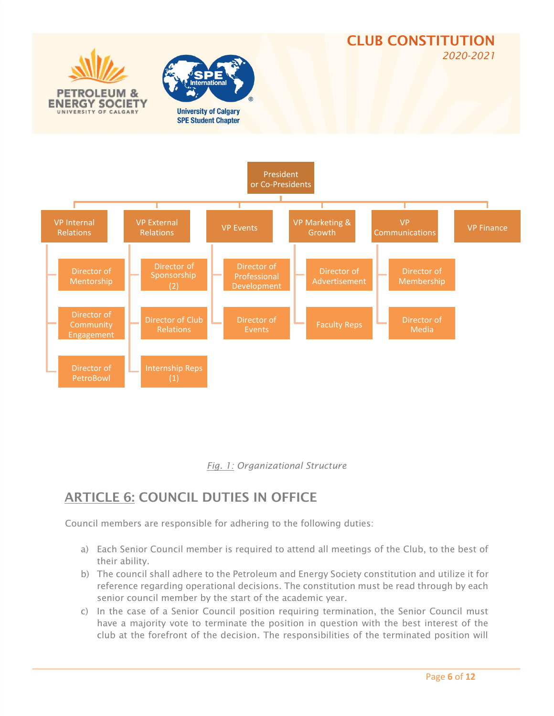



## ARTICLE 6: COUNCIL DUTIES IN OFFICE

Council members are responsible for adhering to the following duties:

- a) Each Senior Council member is required to attend all meetings of the Club, to the best of their ability.
- b) The council shall adhere to the Petroleum and Energy Society constitution and utilize it for reference regarding operational decisions. The constitution must be read through by each senior council member by the start of the academic year.
- c) In the case of a Senior Council position requiring termination, the Senior Council must have a majority vote to terminate the position in question with the best interest of the club at the forefront of the decision. The responsibilities of the terminated position will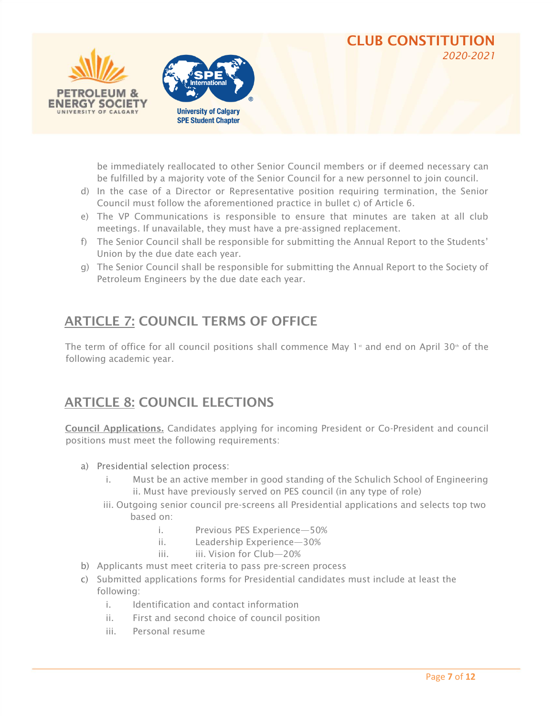



be immediately reallocated to other Senior Council members or if deemed necessary can be fulfilled by a majority vote of the Senior Council for a new personnel to join council.

CLUB CONSTITUTION

*2020-2021*

- d) In the case of a Director or Representative position requiring termination, the Senior Council must follow the aforementioned practice in bullet c) of Article 6.
- e) The VP Communications is responsible to ensure that minutes are taken at all club meetings. If unavailable, they must have a pre-assigned replacement.
- f) The Senior Council shall be responsible for submitting the Annual Report to the Students' Union by the due date each year.
- g) The Senior Council shall be responsible for submitting the Annual Report to the Society of Petroleum Engineers by the due date each year.

## ARTICLE 7: COUNCIL TERMS OF OFFICE

The term of office for all council positions shall commence May 1<sup>st</sup> and end on April 30<sup>th</sup> of the following academic year.

## ARTICLE 8: COUNCIL ELECTIONS

Council Applications. Candidates applying for incoming President or Co-President and council positions must meet the following requirements:

- a) Presidential selection process:
	- i. Must be an active member in good standing of the Schulich School of Engineering ii. Must have previously served on PES council (in any type of role)
	- iii. Outgoing senior council pre-screens all Presidential applications and selects top two based on:
		- i. Previous PES Experience—50%
		- ii. Leadership Experience—30%
		- iii. iii. Vision for Club—20%
- b) Applicants must meet criteria to pass pre-screen process
- c) Submitted applications forms for Presidential candidates must include at least the following:
	- i. Identification and contact information
	- ii. First and second choice of council position
	- iii. Personal resume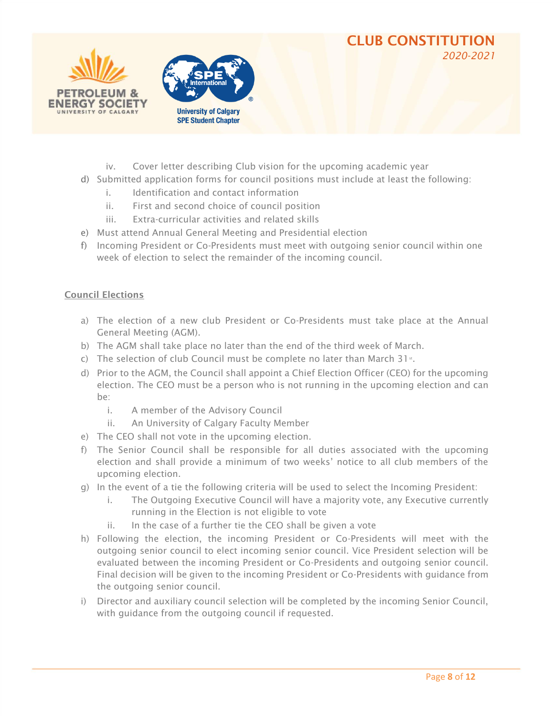#### CLUB CONSTITUTION *2020-2021*





- iv. Cover letter describing Club vision for the upcoming academic year
- d) Submitted application forms for council positions must include at least the following:
	- i. Identification and contact information
	- ii. First and second choice of council position
	- iii. Extra-curricular activities and related skills
- e) Must attend Annual General Meeting and Presidential election
- f) Incoming President or Co-Presidents must meet with outgoing senior council within one week of election to select the remainder of the incoming council.

#### Council Elections

- a) The election of a new club President or Co-Presidents must take place at the Annual General Meeting (AGM).
- b) The AGM shall take place no later than the end of the third week of March.
- c) The selection of club Council must be complete no later than March  $31<sup>st</sup>$ .
- d) Prior to the AGM, the Council shall appoint a Chief Election Officer (CEO) for the upcoming election. The CEO must be a person who is not running in the upcoming election and can be:
	- i. A member of the Advisory Council
	- ii. An University of Calgary Faculty Member
- e) The CEO shall not vote in the upcoming election.
- f) The Senior Council shall be responsible for all duties associated with the upcoming election and shall provide a minimum of two weeks' notice to all club members of the upcoming election.
- g) In the event of a tie the following criteria will be used to select the Incoming President:
	- i. The Outgoing Executive Council will have a majority vote, any Executive currently running in the Election is not eligible to vote
	- ii. In the case of a further tie the CEO shall be given a vote
- h) Following the election, the incoming President or Co-Presidents will meet with the outgoing senior council to elect incoming senior council. Vice President selection will be evaluated between the incoming President or Co-Presidents and outgoing senior council. Final decision will be given to the incoming President or Co-Presidents with guidance from the outgoing senior council.
- i) Director and auxiliary council selection will be completed by the incoming Senior Council, with guidance from the outgoing council if requested.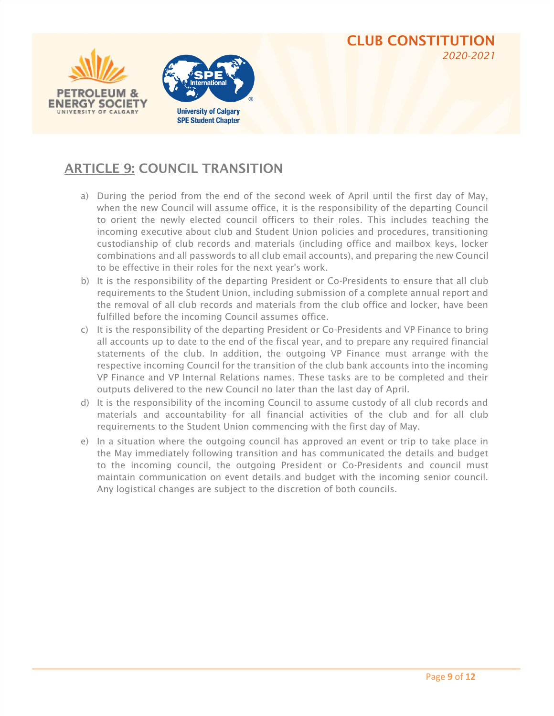



## ARTICLE 9: COUNCIL TRANSITION

- a) During the period from the end of the second week of April until the first day of May, when the new Council will assume office, it is the responsibility of the departing Council to orient the newly elected council officers to their roles. This includes teaching the incoming executive about club and Student Union policies and procedures, transitioning custodianship of club records and materials (including office and mailbox keys, locker combinations and all passwords to all club email accounts), and preparing the new Council to be effective in their roles for the next year's work.
- b) It is the responsibility of the departing President or Co-Presidents to ensure that all club requirements to the Student Union, including submission of a complete annual report and the removal of all club records and materials from the club office and locker, have been fulfilled before the incoming Council assumes office.
- c) It is the responsibility of the departing President or Co-Presidents and VP Finance to bring all accounts up to date to the end of the fiscal year, and to prepare any required financial statements of the club. In addition, the outgoing VP Finance must arrange with the respective incoming Council for the transition of the club bank accounts into the incoming VP Finance and VP Internal Relations names. These tasks are to be completed and their outputs delivered to the new Council no later than the last day of April.
- d) It is the responsibility of the incoming Council to assume custody of all club records and materials and accountability for all financial activities of the club and for all club requirements to the Student Union commencing with the first day of May.
- e) In a situation where the outgoing council has approved an event or trip to take place in the May immediately following transition and has communicated the details and budget to the incoming council, the outgoing President or Co-Presidents and council must maintain communication on event details and budget with the incoming senior council. Any logistical changes are subject to the discretion of both councils.

CLUB CONSTITUTION

*2020-2021*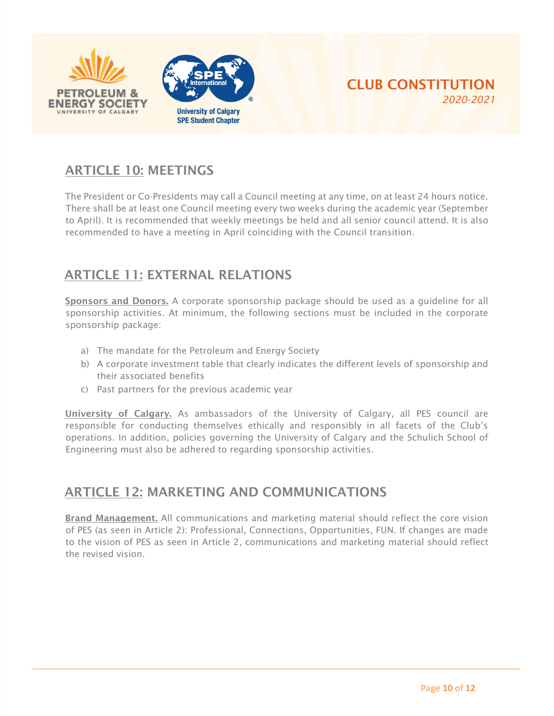



# ARTICLE 10: MEETINGS

The President or Co-Presidents may call a Council meeting at any time, on at least 24 hours notice. There shall be at least one Council meeting every two weeks during the academic year (September to April). It is recommended that weekly meetings be held and all senior council attend. It is also recommended to have a meeting in April coinciding with the Council transition.

## ARTICLE 11: EXTERNAL RELATIONS

Sponsors and Donors. A corporate sponsorship package should be used as a guideline for all sponsorship activities. At minimum, the following sections must be included in the corporate sponsorship package:

- a) The mandate for the Petroleum and Energy Society
- b) A corporate investment table that clearly indicates the different levels of sponsorship and their associated benefits
- c) Past partners for the previous academic year

University of Calgary. As ambassadors of the University of Calgary, all PES council are responsible for conducting themselves ethically and responsibly in all facets of the Club's operations. In addition, policies governing the University of Calgary and the Schulich School of Engineering must also be adhered to regarding sponsorship activities.

#### ARTICLE 12: MARKETING AND COMMUNICATIONS

Brand Management. All communications and marketing material should reflect the core vision of PES (as seen in Article 2): Professional, Connections, Opportunities, FUN. If changes are made to the vision of PES as seen in Article 2, communications and marketing material should reflect the revised vision.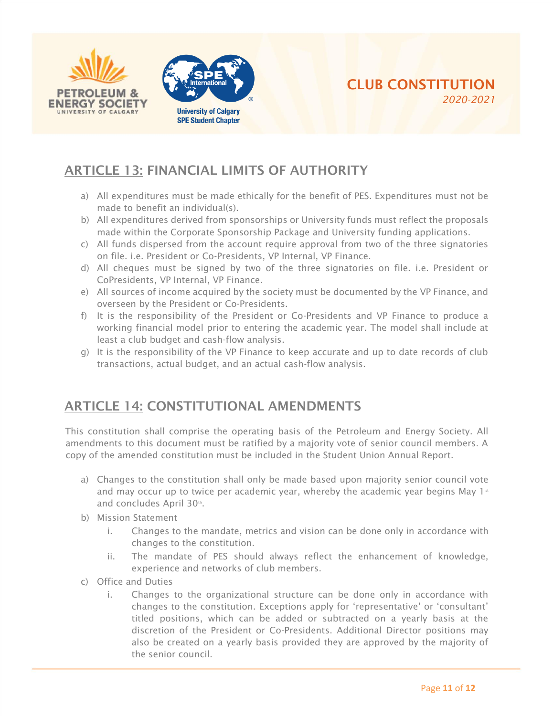



## ARTICLE 13: FINANCIAL LIMITS OF AUTHORITY

- a) All expenditures must be made ethically for the benefit of PES. Expenditures must not be made to benefit an individual(s).
- b) All expenditures derived from sponsorships or University funds must reflect the proposals made within the Corporate Sponsorship Package and University funding applications.
- c) All funds dispersed from the account require approval from two of the three signatories on file. i.e. President or Co-Presidents, VP Internal, VP Finance.
- d) All cheques must be signed by two of the three signatories on file. i.e. President or CoPresidents, VP Internal, VP Finance.
- e) All sources of income acquired by the society must be documented by the VP Finance, and overseen by the President or Co-Presidents.
- f) It is the responsibility of the President or Co-Presidents and VP Finance to produce a working financial model prior to entering the academic year. The model shall include at least a club budget and cash-flow analysis.
- g) It is the responsibility of the VP Finance to keep accurate and up to date records of club transactions, actual budget, and an actual cash-flow analysis.

## ARTICLE 14: CONSTITUTIONAL AMENDMENTS

This constitution shall comprise the operating basis of the Petroleum and Energy Society. All amendments to this document must be ratified by a majority vote of senior council members. A copy of the amended constitution must be included in the Student Union Annual Report.

- a) Changes to the constitution shall only be made based upon majority senior council vote and may occur up to twice per academic year, whereby the academic year begins May  $1<sup>s</sup>$ and concludes April 30th.
- b) Mission Statement
	- i. Changes to the mandate, metrics and vision can be done only in accordance with changes to the constitution.
	- ii. The mandate of PES should always reflect the enhancement of knowledge, experience and networks of club members.
- c) Office and Duties
	- i. Changes to the organizational structure can be done only in accordance with changes to the constitution. Exceptions apply for 'representative' or 'consultant' titled positions, which can be added or subtracted on a yearly basis at the discretion of the President or Co-Presidents. Additional Director positions may also be created on a yearly basis provided they are approved by the majority of the senior council.